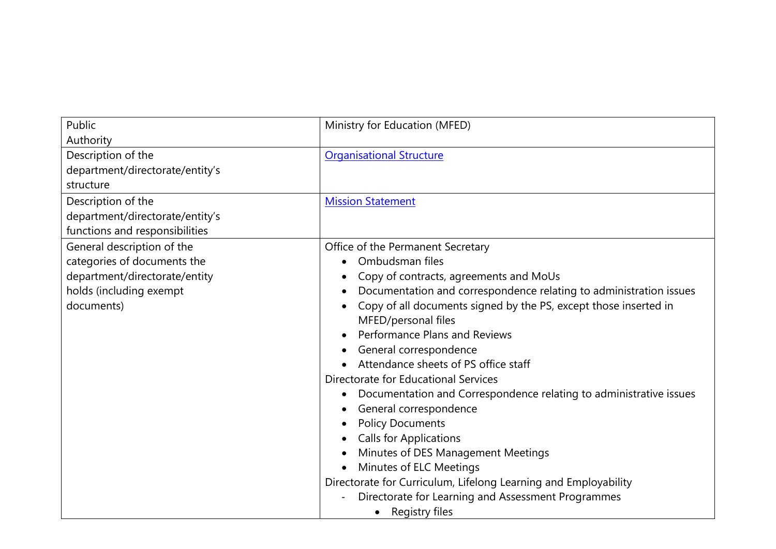| Public<br>Authority                                                                                                                 | Ministry for Education (MFED)                                                                                                                                                                                                                                                                                                                                                                                                                                                                                                                                                                                                                                                                                                                                                      |
|-------------------------------------------------------------------------------------------------------------------------------------|------------------------------------------------------------------------------------------------------------------------------------------------------------------------------------------------------------------------------------------------------------------------------------------------------------------------------------------------------------------------------------------------------------------------------------------------------------------------------------------------------------------------------------------------------------------------------------------------------------------------------------------------------------------------------------------------------------------------------------------------------------------------------------|
| Description of the<br>department/directorate/entity's<br>structure                                                                  | <b>Organisational Structure</b>                                                                                                                                                                                                                                                                                                                                                                                                                                                                                                                                                                                                                                                                                                                                                    |
| Description of the<br>department/directorate/entity's<br>functions and responsibilities                                             | <b>Mission Statement</b>                                                                                                                                                                                                                                                                                                                                                                                                                                                                                                                                                                                                                                                                                                                                                           |
| General description of the<br>categories of documents the<br>department/directorate/entity<br>holds (including exempt<br>documents) | Office of the Permanent Secretary<br>Ombudsman files<br>Copy of contracts, agreements and MoUs<br>Documentation and correspondence relating to administration issues<br>Copy of all documents signed by the PS, except those inserted in<br>MFED/personal files<br>Performance Plans and Reviews<br>General correspondence<br>Attendance sheets of PS office staff<br>Directorate for Educational Services<br>Documentation and Correspondence relating to administrative issues<br>General correspondence<br><b>Policy Documents</b><br><b>Calls for Applications</b><br>Minutes of DES Management Meetings<br>Minutes of ELC Meetings<br>Directorate for Curriculum, Lifelong Learning and Employability<br>Directorate for Learning and Assessment Programmes<br>Registry files |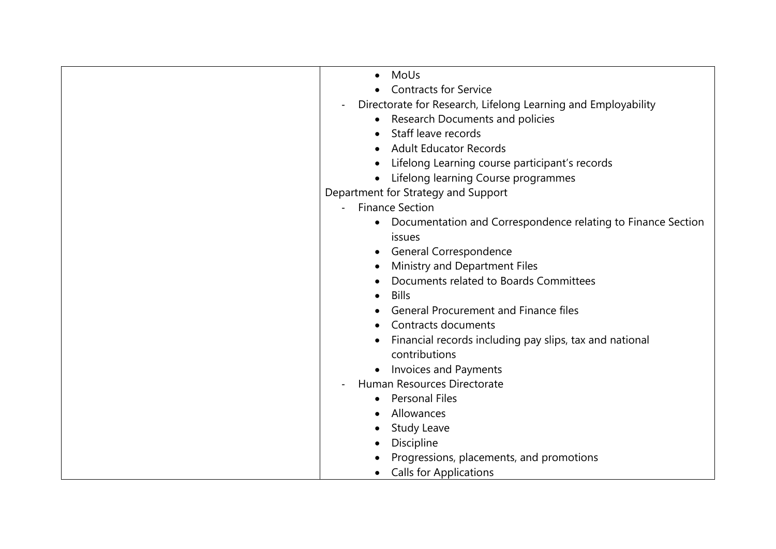| MoUs                                                                      |
|---------------------------------------------------------------------------|
| <b>Contracts for Service</b>                                              |
| Directorate for Research, Lifelong Learning and Employability             |
| Research Documents and policies                                           |
| Staff leave records                                                       |
| <b>Adult Educator Records</b>                                             |
| Lifelong Learning course participant's records                            |
| Lifelong learning Course programmes                                       |
| Department for Strategy and Support                                       |
| <b>Finance Section</b>                                                    |
| Documentation and Correspondence relating to Finance Section<br>$\bullet$ |
| issues                                                                    |
| General Correspondence                                                    |
| Ministry and Department Files                                             |
| Documents related to Boards Committees                                    |
| <b>Bills</b><br>$\bullet$                                                 |
| <b>General Procurement and Finance files</b>                              |
| Contracts documents                                                       |
| Financial records including pay slips, tax and national                   |
| contributions                                                             |
| <b>Invoices and Payments</b>                                              |
| Human Resources Directorate                                               |
| <b>Personal Files</b>                                                     |
| Allowances                                                                |
| <b>Study Leave</b>                                                        |
| Discipline                                                                |
| Progressions, placements, and promotions                                  |
| <b>Calls for Applications</b>                                             |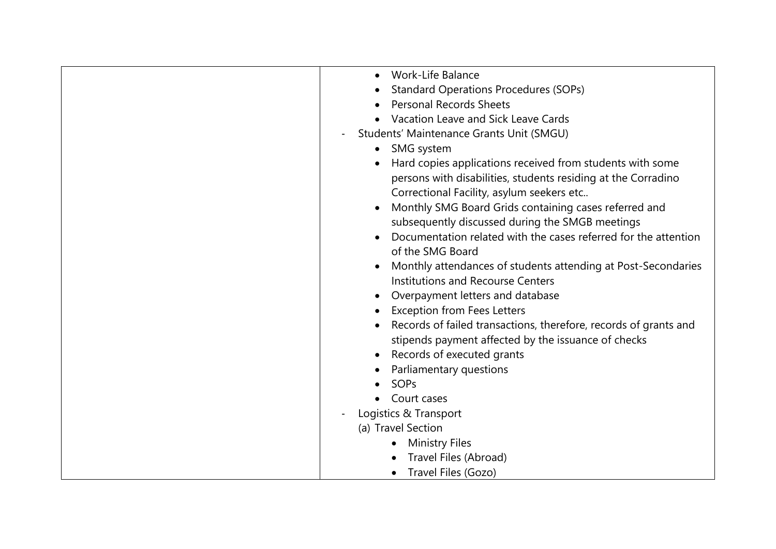| <b>Work-Life Balance</b>                                         |
|------------------------------------------------------------------|
| <b>Standard Operations Procedures (SOPs)</b>                     |
| <b>Personal Records Sheets</b>                                   |
| Vacation Leave and Sick Leave Cards                              |
| Students' Maintenance Grants Unit (SMGU)                         |
| • SMG system                                                     |
| Hard copies applications received from students with some        |
| persons with disabilities, students residing at the Corradino    |
| Correctional Facility, asylum seekers etc                        |
| Monthly SMG Board Grids containing cases referred and            |
| subsequently discussed during the SMGB meetings                  |
| Documentation related with the cases referred for the attention  |
| of the SMG Board                                                 |
| Monthly attendances of students attending at Post-Secondaries    |
| <b>Institutions and Recourse Centers</b>                         |
| Overpayment letters and database                                 |
| <b>Exception from Fees Letters</b>                               |
| Records of failed transactions, therefore, records of grants and |
| stipends payment affected by the issuance of checks              |
| Records of executed grants                                       |
| Parliamentary questions                                          |
| SOPs                                                             |
| Court cases                                                      |
| Logistics & Transport                                            |
| (a) Travel Section                                               |
| <b>Ministry Files</b>                                            |
| Travel Files (Abroad)                                            |
| Travel Files (Gozo)                                              |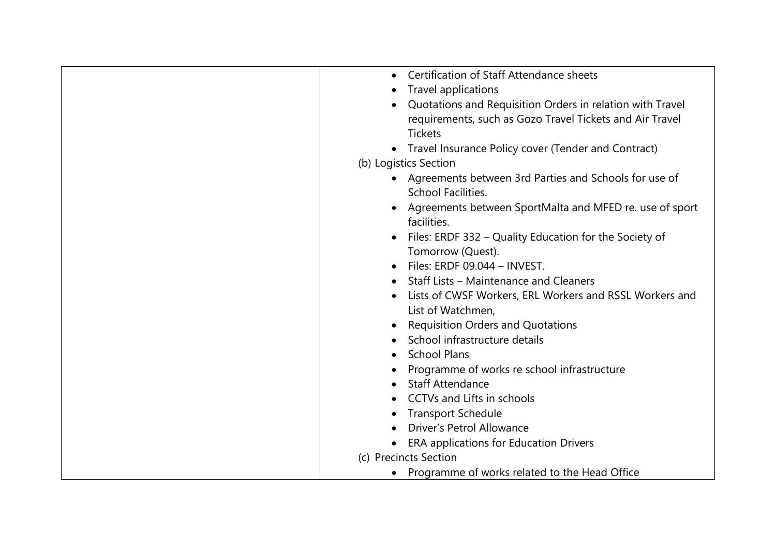| Certification of Staff Attendance sheets                  |
|-----------------------------------------------------------|
| Travel applications                                       |
| Quotations and Requisition Orders in relation with Travel |
| requirements, such as Gozo Travel Tickets and Air Travel  |
| <b>Tickets</b>                                            |
| • Travel Insurance Policy cover (Tender and Contract)     |
| (b) Logistics Section                                     |
| • Agreements between 3rd Parties and Schools for use of   |
| School Facilities.                                        |
| Agreements between SportMalta and MFED re. use of sport   |
| facilities.                                               |
| Files: ERDF 332 – Quality Education for the Society of    |
| Tomorrow (Quest).                                         |
| Files: ERDF 09.044 - INVEST.                              |
| Staff Lists - Maintenance and Cleaners                    |
| Lists of CWSF Workers, ERL Workers and RSSL Workers and   |
| List of Watchmen,                                         |
| <b>Requisition Orders and Quotations</b>                  |
| School infrastructure details                             |
| <b>School Plans</b>                                       |
| Programme of works re school infrastructure               |
| <b>Staff Attendance</b>                                   |
| <b>CCTVs and Lifts in schools</b>                         |
| <b>Transport Schedule</b>                                 |
| Driver's Petrol Allowance                                 |
| <b>ERA applications for Education Drivers</b>             |
| (c) Precincts Section                                     |
| • Programme of works related to the Head Office           |
|                                                           |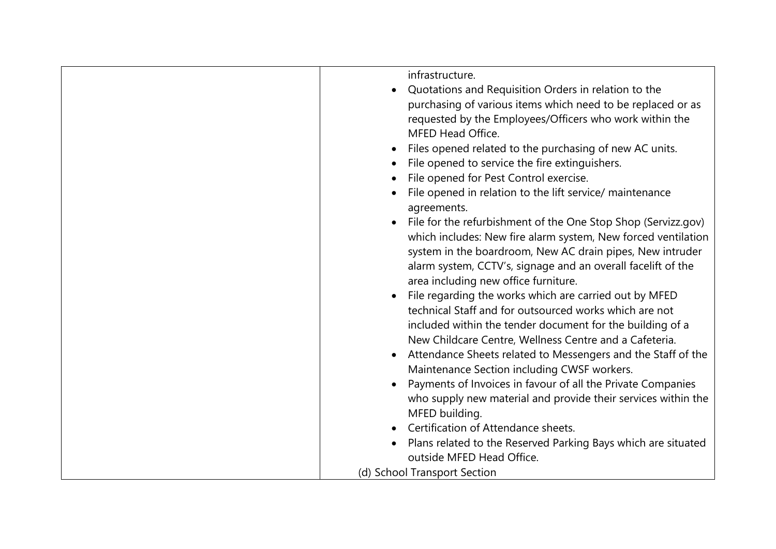| infrastructure.                                                          |
|--------------------------------------------------------------------------|
| Quotations and Requisition Orders in relation to the<br>$\bullet$        |
| purchasing of various items which need to be replaced or as              |
| requested by the Employees/Officers who work within the                  |
| MFED Head Office.                                                        |
| Files opened related to the purchasing of new AC units.                  |
| File opened to service the fire extinguishers.                           |
| File opened for Pest Control exercise.                                   |
| File opened in relation to the lift service/ maintenance                 |
| agreements.                                                              |
| File for the refurbishment of the One Stop Shop (Servizz.gov)            |
| which includes: New fire alarm system, New forced ventilation            |
| system in the boardroom, New AC drain pipes, New intruder                |
| alarm system, CCTV's, signage and an overall facelift of the             |
| area including new office furniture.                                     |
| File regarding the works which are carried out by MFED<br>$\bullet$      |
| technical Staff and for outsourced works which are not                   |
| included within the tender document for the building of a                |
| New Childcare Centre, Wellness Centre and a Cafeteria.                   |
| Attendance Sheets related to Messengers and the Staff of the             |
| Maintenance Section including CWSF workers.                              |
| Payments of Invoices in favour of all the Private Companies<br>$\bullet$ |
| who supply new material and provide their services within the            |
| MFED building.                                                           |
| Certification of Attendance sheets.                                      |
| Plans related to the Reserved Parking Bays which are situated            |
| outside MFED Head Office.                                                |
| (d) School Transport Section                                             |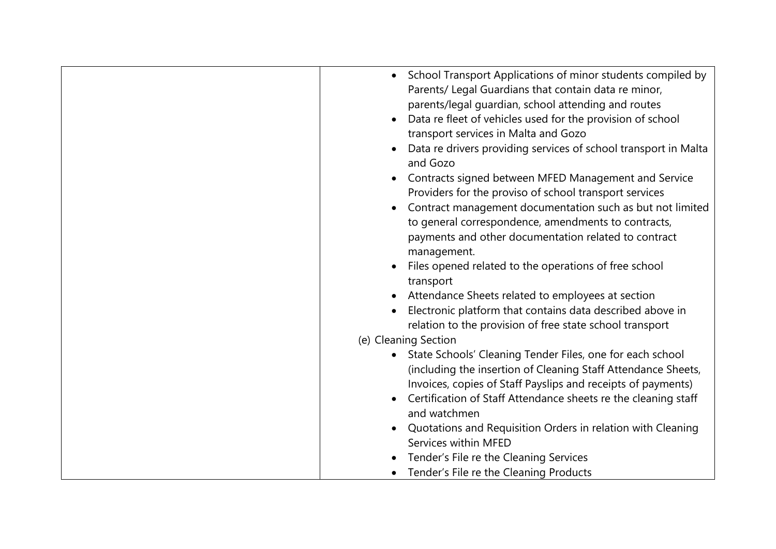| • School Transport Applications of minor students compiled by<br>Parents/ Legal Guardians that contain data re minor,<br>parents/legal guardian, school attending and routes<br>Data re fleet of vehicles used for the provision of school<br>transport services in Malta and Gozo<br>Data re drivers providing services of school transport in Malta<br>and Gozo<br>Contracts signed between MFED Management and Service<br>Providers for the proviso of school transport services<br>Contract management documentation such as but not limited<br>$\bullet$<br>to general correspondence, amendments to contracts,<br>payments and other documentation related to contract<br>management.<br>Files opened related to the operations of free school<br>transport<br>Attendance Sheets related to employees at section<br>$\bullet$ |
|-------------------------------------------------------------------------------------------------------------------------------------------------------------------------------------------------------------------------------------------------------------------------------------------------------------------------------------------------------------------------------------------------------------------------------------------------------------------------------------------------------------------------------------------------------------------------------------------------------------------------------------------------------------------------------------------------------------------------------------------------------------------------------------------------------------------------------------|
| Electronic platform that contains data described above in                                                                                                                                                                                                                                                                                                                                                                                                                                                                                                                                                                                                                                                                                                                                                                           |
| relation to the provision of free state school transport                                                                                                                                                                                                                                                                                                                                                                                                                                                                                                                                                                                                                                                                                                                                                                            |
| (e) Cleaning Section                                                                                                                                                                                                                                                                                                                                                                                                                                                                                                                                                                                                                                                                                                                                                                                                                |
| • State Schools' Cleaning Tender Files, one for each school<br>(including the insertion of Cleaning Staff Attendance Sheets,<br>Invoices, copies of Staff Payslips and receipts of payments)<br>Certification of Staff Attendance sheets re the cleaning staff<br>and watchmen<br>Quotations and Requisition Orders in relation with Cleaning<br>$\bullet$<br>Services within MFED                                                                                                                                                                                                                                                                                                                                                                                                                                                  |
| Tender's File re the Cleaning Services                                                                                                                                                                                                                                                                                                                                                                                                                                                                                                                                                                                                                                                                                                                                                                                              |
| Tender's File re the Cleaning Products                                                                                                                                                                                                                                                                                                                                                                                                                                                                                                                                                                                                                                                                                                                                                                                              |
|                                                                                                                                                                                                                                                                                                                                                                                                                                                                                                                                                                                                                                                                                                                                                                                                                                     |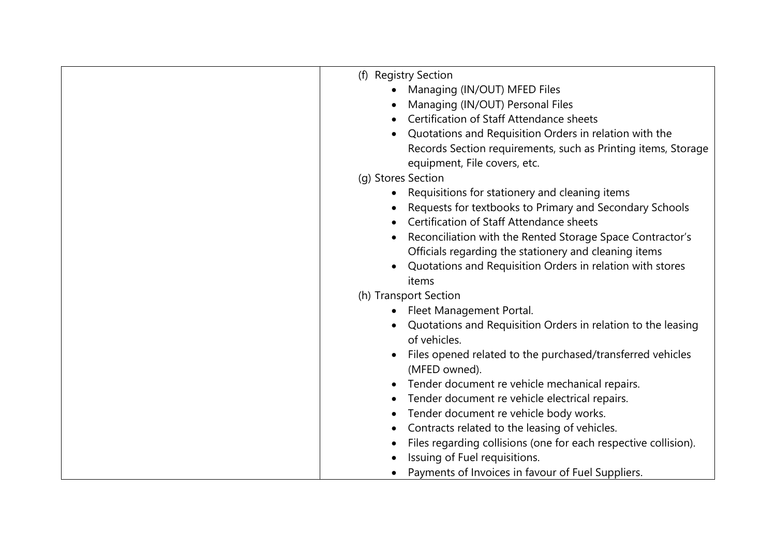| (f) Registry Section                                                         |
|------------------------------------------------------------------------------|
| Managing (IN/OUT) MFED Files                                                 |
| Managing (IN/OUT) Personal Files                                             |
| Certification of Staff Attendance sheets                                     |
| Quotations and Requisition Orders in relation with the                       |
| Records Section requirements, such as Printing items, Storage                |
| equipment, File covers, etc.                                                 |
| (g) Stores Section                                                           |
| Requisitions for stationery and cleaning items                               |
| Requests for textbooks to Primary and Secondary Schools                      |
| Certification of Staff Attendance sheets                                     |
| Reconciliation with the Rented Storage Space Contractor's                    |
| Officials regarding the stationery and cleaning items                        |
| Quotations and Requisition Orders in relation with stores                    |
| items                                                                        |
| (h) Transport Section                                                        |
| Fleet Management Portal.                                                     |
| $\bullet$                                                                    |
| Quotations and Requisition Orders in relation to the leasing<br>of vehicles. |
|                                                                              |
| Files opened related to the purchased/transferred vehicles                   |
| (MFED owned).                                                                |
| Tender document re vehicle mechanical repairs.                               |
| Tender document re vehicle electrical repairs.                               |
| Tender document re vehicle body works.                                       |
| Contracts related to the leasing of vehicles.                                |
| Files regarding collisions (one for each respective collision).              |
| Issuing of Fuel requisitions.                                                |
| Payments of Invoices in favour of Fuel Suppliers.                            |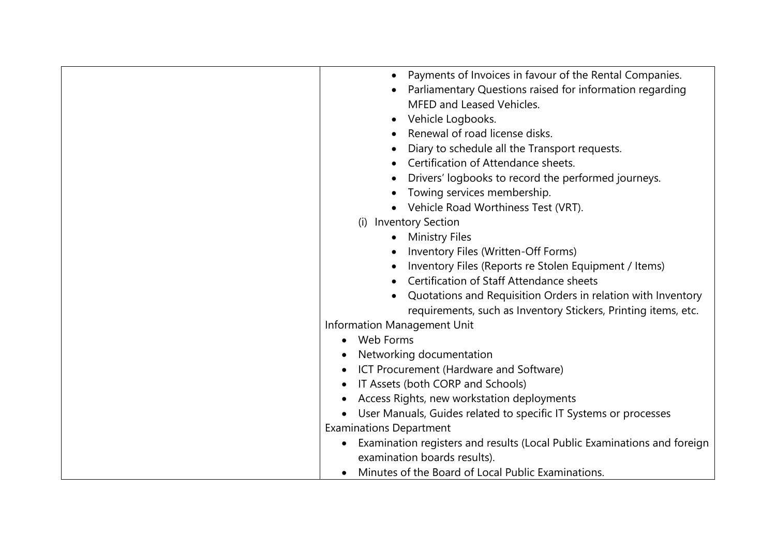| Payments of Invoices in favour of the Rental Companies.                                                                                                                                                                                                                                                                                                                                                                                                                                                                                                                                                                                                                                                                                                                                                         |
|-----------------------------------------------------------------------------------------------------------------------------------------------------------------------------------------------------------------------------------------------------------------------------------------------------------------------------------------------------------------------------------------------------------------------------------------------------------------------------------------------------------------------------------------------------------------------------------------------------------------------------------------------------------------------------------------------------------------------------------------------------------------------------------------------------------------|
| Parliamentary Questions raised for information regarding                                                                                                                                                                                                                                                                                                                                                                                                                                                                                                                                                                                                                                                                                                                                                        |
| MFED and Leased Vehicles.                                                                                                                                                                                                                                                                                                                                                                                                                                                                                                                                                                                                                                                                                                                                                                                       |
| Vehicle Logbooks.<br>$\bullet$                                                                                                                                                                                                                                                                                                                                                                                                                                                                                                                                                                                                                                                                                                                                                                                  |
| Renewal of road license disks.                                                                                                                                                                                                                                                                                                                                                                                                                                                                                                                                                                                                                                                                                                                                                                                  |
| Diary to schedule all the Transport requests.                                                                                                                                                                                                                                                                                                                                                                                                                                                                                                                                                                                                                                                                                                                                                                   |
| Certification of Attendance sheets.                                                                                                                                                                                                                                                                                                                                                                                                                                                                                                                                                                                                                                                                                                                                                                             |
| Drivers' logbooks to record the performed journeys.                                                                                                                                                                                                                                                                                                                                                                                                                                                                                                                                                                                                                                                                                                                                                             |
| Towing services membership.                                                                                                                                                                                                                                                                                                                                                                                                                                                                                                                                                                                                                                                                                                                                                                                     |
|                                                                                                                                                                                                                                                                                                                                                                                                                                                                                                                                                                                                                                                                                                                                                                                                                 |
|                                                                                                                                                                                                                                                                                                                                                                                                                                                                                                                                                                                                                                                                                                                                                                                                                 |
|                                                                                                                                                                                                                                                                                                                                                                                                                                                                                                                                                                                                                                                                                                                                                                                                                 |
|                                                                                                                                                                                                                                                                                                                                                                                                                                                                                                                                                                                                                                                                                                                                                                                                                 |
|                                                                                                                                                                                                                                                                                                                                                                                                                                                                                                                                                                                                                                                                                                                                                                                                                 |
| Certification of Staff Attendance sheets                                                                                                                                                                                                                                                                                                                                                                                                                                                                                                                                                                                                                                                                                                                                                                        |
|                                                                                                                                                                                                                                                                                                                                                                                                                                                                                                                                                                                                                                                                                                                                                                                                                 |
|                                                                                                                                                                                                                                                                                                                                                                                                                                                                                                                                                                                                                                                                                                                                                                                                                 |
|                                                                                                                                                                                                                                                                                                                                                                                                                                                                                                                                                                                                                                                                                                                                                                                                                 |
|                                                                                                                                                                                                                                                                                                                                                                                                                                                                                                                                                                                                                                                                                                                                                                                                                 |
|                                                                                                                                                                                                                                                                                                                                                                                                                                                                                                                                                                                                                                                                                                                                                                                                                 |
|                                                                                                                                                                                                                                                                                                                                                                                                                                                                                                                                                                                                                                                                                                                                                                                                                 |
|                                                                                                                                                                                                                                                                                                                                                                                                                                                                                                                                                                                                                                                                                                                                                                                                                 |
|                                                                                                                                                                                                                                                                                                                                                                                                                                                                                                                                                                                                                                                                                                                                                                                                                 |
|                                                                                                                                                                                                                                                                                                                                                                                                                                                                                                                                                                                                                                                                                                                                                                                                                 |
|                                                                                                                                                                                                                                                                                                                                                                                                                                                                                                                                                                                                                                                                                                                                                                                                                 |
|                                                                                                                                                                                                                                                                                                                                                                                                                                                                                                                                                                                                                                                                                                                                                                                                                 |
|                                                                                                                                                                                                                                                                                                                                                                                                                                                                                                                                                                                                                                                                                                                                                                                                                 |
|                                                                                                                                                                                                                                                                                                                                                                                                                                                                                                                                                                                                                                                                                                                                                                                                                 |
| Vehicle Road Worthiness Test (VRT).<br><b>Inventory Section</b><br>(i)<br><b>Ministry Files</b><br>Inventory Files (Written-Off Forms)<br>Inventory Files (Reports re Stolen Equipment / Items)<br>Quotations and Requisition Orders in relation with Inventory<br>requirements, such as Inventory Stickers, Printing items, etc.<br>Information Management Unit<br>Web Forms<br>Networking documentation<br>ICT Procurement (Hardware and Software)<br>IT Assets (both CORP and Schools)<br>Access Rights, new workstation deployments<br>User Manuals, Guides related to specific IT Systems or processes<br><b>Examinations Department</b><br>Examination registers and results (Local Public Examinations and foreign<br>examination boards results).<br>Minutes of the Board of Local Public Examinations. |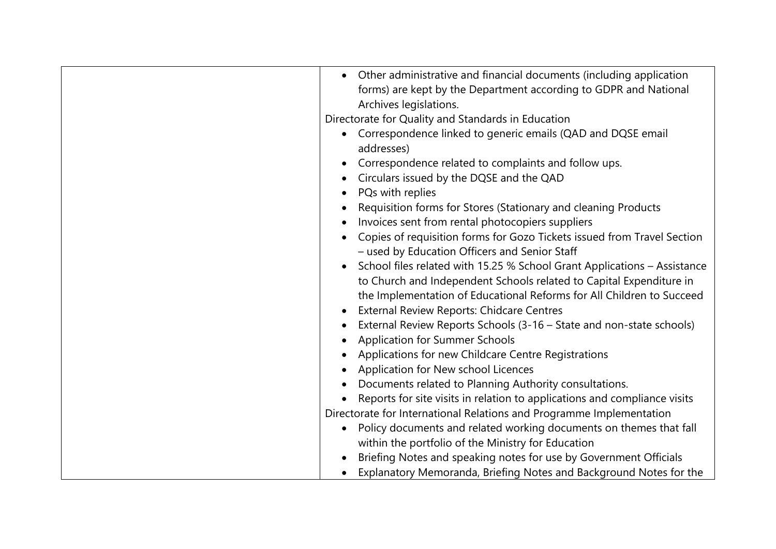| Other administrative and financial documents (including application<br>forms) are kept by the Department according to GDPR and National<br>Archives legislations.<br>Directorate for Quality and Standards in Education<br>Correspondence linked to generic emails (QAD and DQSE email<br>addresses)<br>Correspondence related to complaints and follow ups.<br>Circulars issued by the DQSE and the QAD<br>PQs with replies<br>Requisition forms for Stores (Stationary and cleaning Products<br>Invoices sent from rental photocopiers suppliers<br>Copies of requisition forms for Gozo Tickets issued from Travel Section<br>- used by Education Officers and Senior Staff<br>School files related with 15.25 % School Grant Applications - Assistance<br>to Church and Independent Schools related to Capital Expenditure in<br>the Implementation of Educational Reforms for All Children to Succeed<br>External Review Reports: Chidcare Centres<br>External Review Reports Schools (3-16 – State and non-state schools)<br><b>Application for Summer Schools</b><br>Applications for new Childcare Centre Registrations<br>Application for New school Licences<br>Documents related to Planning Authority consultations.<br>Reports for site visits in relation to applications and compliance visits<br>Directorate for International Relations and Programme Implementation<br>Policy documents and related working documents on themes that fall<br>$\bullet$<br>within the portfolio of the Ministry for Education<br>Briefing Notes and speaking notes for use by Government Officials |
|-----------------------------------------------------------------------------------------------------------------------------------------------------------------------------------------------------------------------------------------------------------------------------------------------------------------------------------------------------------------------------------------------------------------------------------------------------------------------------------------------------------------------------------------------------------------------------------------------------------------------------------------------------------------------------------------------------------------------------------------------------------------------------------------------------------------------------------------------------------------------------------------------------------------------------------------------------------------------------------------------------------------------------------------------------------------------------------------------------------------------------------------------------------------------------------------------------------------------------------------------------------------------------------------------------------------------------------------------------------------------------------------------------------------------------------------------------------------------------------------------------------------------------------------------------------------------------------------------------|
| Explanatory Memoranda, Briefing Notes and Background Notes for the                                                                                                                                                                                                                                                                                                                                                                                                                                                                                                                                                                                                                                                                                                                                                                                                                                                                                                                                                                                                                                                                                                                                                                                                                                                                                                                                                                                                                                                                                                                                  |
|                                                                                                                                                                                                                                                                                                                                                                                                                                                                                                                                                                                                                                                                                                                                                                                                                                                                                                                                                                                                                                                                                                                                                                                                                                                                                                                                                                                                                                                                                                                                                                                                     |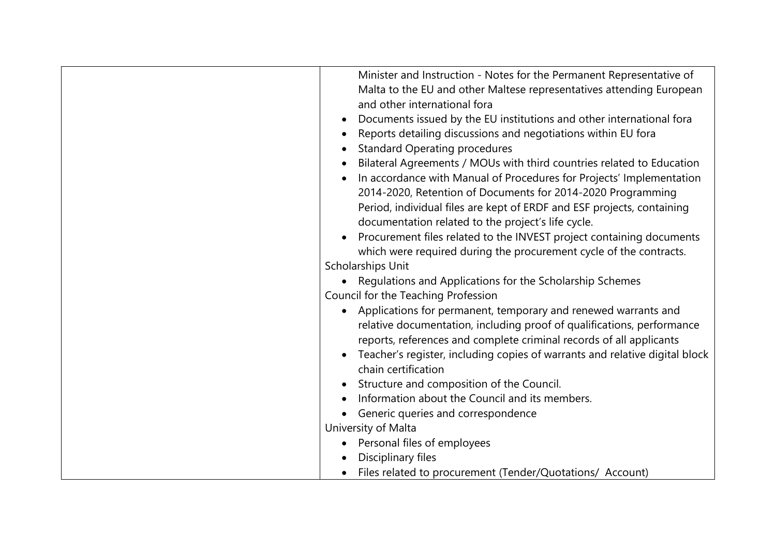| Minister and Instruction - Notes for the Permanent Representative of<br>Malta to the EU and other Maltese representatives attending European<br>and other international fora<br>Documents issued by the EU institutions and other international fora<br>Reports detailing discussions and negotiations within EU fora<br><b>Standard Operating procedures</b><br>Bilateral Agreements / MOUs with third countries related to Education<br>In accordance with Manual of Procedures for Projects' Implementation<br>2014-2020, Retention of Documents for 2014-2020 Programming<br>Period, individual files are kept of ERDF and ESF projects, containing<br>documentation related to the project's life cycle.<br>Procurement files related to the INVEST project containing documents<br>which were required during the procurement cycle of the contracts.<br>Scholarships Unit<br>• Regulations and Applications for the Scholarship Schemes |
|------------------------------------------------------------------------------------------------------------------------------------------------------------------------------------------------------------------------------------------------------------------------------------------------------------------------------------------------------------------------------------------------------------------------------------------------------------------------------------------------------------------------------------------------------------------------------------------------------------------------------------------------------------------------------------------------------------------------------------------------------------------------------------------------------------------------------------------------------------------------------------------------------------------------------------------------|
| Council for the Teaching Profession<br>Applications for permanent, temporary and renewed warrants and<br>$\bullet$<br>relative documentation, including proof of qualifications, performance<br>reports, references and complete criminal records of all applicants<br>Teacher's register, including copies of warrants and relative digital block<br>chain certification<br>Structure and composition of the Council.<br>Information about the Council and its members.<br>Generic queries and correspondence<br>University of Malta                                                                                                                                                                                                                                                                                                                                                                                                          |
| Personal files of employees<br>Disciplinary files<br>Files related to procurement (Tender/Quotations/ Account)                                                                                                                                                                                                                                                                                                                                                                                                                                                                                                                                                                                                                                                                                                                                                                                                                                 |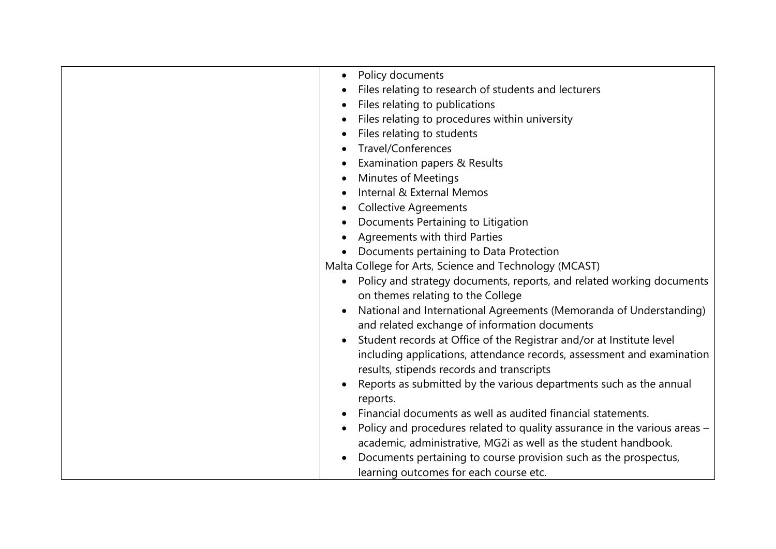| Policy documents                                                          |
|---------------------------------------------------------------------------|
|                                                                           |
| Files relating to research of students and lecturers                      |
| Files relating to publications                                            |
| Files relating to procedures within university                            |
| Files relating to students                                                |
| Travel/Conferences                                                        |
| Examination papers & Results                                              |
| <b>Minutes of Meetings</b>                                                |
| Internal & External Memos                                                 |
| <b>Collective Agreements</b>                                              |
| Documents Pertaining to Litigation                                        |
| Agreements with third Parties                                             |
| Documents pertaining to Data Protection                                   |
| Malta College for Arts, Science and Technology (MCAST)                    |
| Policy and strategy documents, reports, and related working documents     |
| on themes relating to the College                                         |
| National and International Agreements (Memoranda of Understanding)        |
| and related exchange of information documents                             |
| Student records at Office of the Registrar and/or at Institute level      |
| including applications, attendance records, assessment and examination    |
| results, stipends records and transcripts                                 |
| Reports as submitted by the various departments such as the annual        |
| reports.                                                                  |
| Financial documents as well as audited financial statements.              |
|                                                                           |
| Policy and procedures related to quality assurance in the various areas - |
| academic, administrative, MG2i as well as the student handbook.           |
| Documents pertaining to course provision such as the prospectus,          |
| learning outcomes for each course etc.                                    |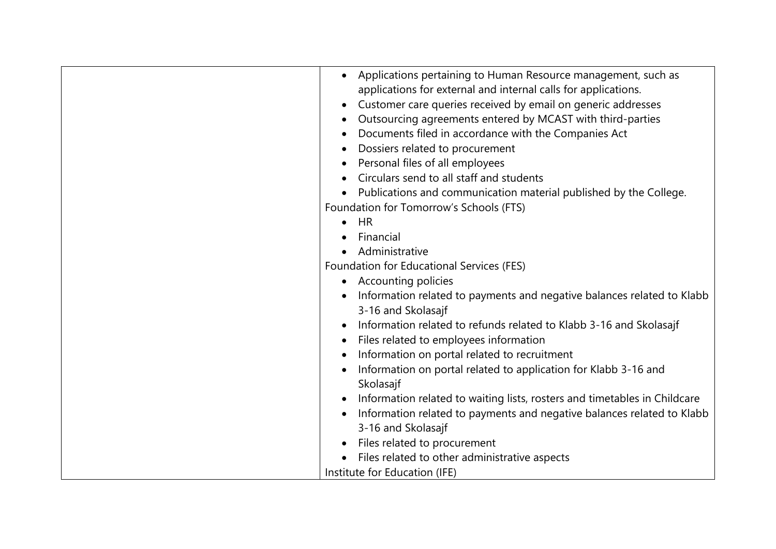| Applications pertaining to Human Resource management, such as<br>applications for external and internal calls for applications.<br>Customer care queries received by email on generic addresses<br>Outsourcing agreements entered by MCAST with third-parties<br>Documents filed in accordance with the Companies Act<br>Dossiers related to procurement<br>Personal files of all employees<br>Circulars send to all staff and students<br>Publications and communication material published by the College.<br>Foundation for Tomorrow's Schools (FTS)<br><b>HR</b><br>Financial<br>Administrative<br>Foundation for Educational Services (FES)<br>• Accounting policies<br>Information related to payments and negative balances related to Klabb<br>3-16 and Skolasajf<br>Information related to refunds related to Klabb 3-16 and Skolasajf<br>Files related to employees information<br>Information on portal related to recruitment<br>Information on portal related to application for Klabb 3-16 and<br>Skolasajf<br>Information related to waiting lists, rosters and timetables in Childcare<br>Information related to payments and negative balances related to Klabb<br>3-16 and Skolasajf<br>Files related to procurement<br>Files related to other administrative aspects |
|-----------------------------------------------------------------------------------------------------------------------------------------------------------------------------------------------------------------------------------------------------------------------------------------------------------------------------------------------------------------------------------------------------------------------------------------------------------------------------------------------------------------------------------------------------------------------------------------------------------------------------------------------------------------------------------------------------------------------------------------------------------------------------------------------------------------------------------------------------------------------------------------------------------------------------------------------------------------------------------------------------------------------------------------------------------------------------------------------------------------------------------------------------------------------------------------------------------------------------------------------------------------------------------------|
| Institute for Education (IFE)                                                                                                                                                                                                                                                                                                                                                                                                                                                                                                                                                                                                                                                                                                                                                                                                                                                                                                                                                                                                                                                                                                                                                                                                                                                           |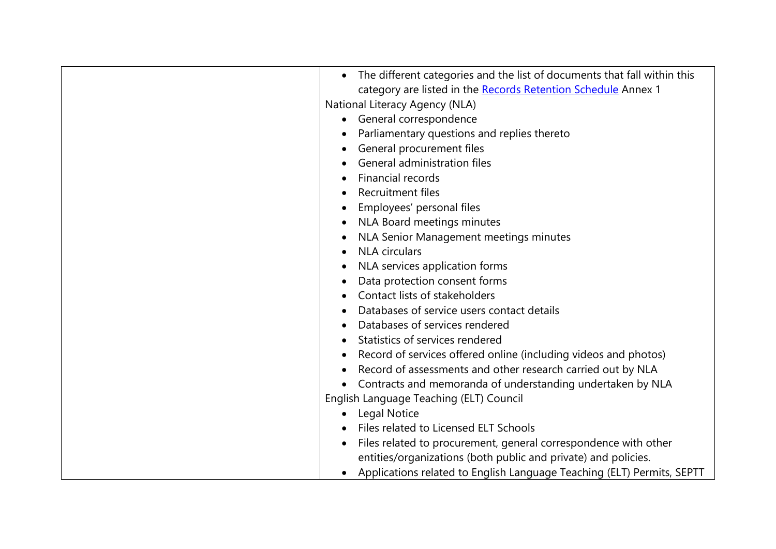| The different categories and the list of documents that fall within this<br>category are listed in the Records Retention Schedule Annex 1<br>National Literacy Agency (NLA)<br>General correspondence |
|-------------------------------------------------------------------------------------------------------------------------------------------------------------------------------------------------------|
| Parliamentary questions and replies thereto                                                                                                                                                           |
| General procurement files                                                                                                                                                                             |
| General administration files                                                                                                                                                                          |
| Financial records                                                                                                                                                                                     |
| Recruitment files                                                                                                                                                                                     |
| Employees' personal files                                                                                                                                                                             |
| NLA Board meetings minutes                                                                                                                                                                            |
| NLA Senior Management meetings minutes                                                                                                                                                                |
| <b>NLA</b> circulars                                                                                                                                                                                  |
| NLA services application forms                                                                                                                                                                        |
| Data protection consent forms                                                                                                                                                                         |
| Contact lists of stakeholders                                                                                                                                                                         |
| Databases of service users contact details                                                                                                                                                            |
| Databases of services rendered                                                                                                                                                                        |
| Statistics of services rendered                                                                                                                                                                       |
| Record of services offered online (including videos and photos)                                                                                                                                       |
| Record of assessments and other research carried out by NLA                                                                                                                                           |
| Contracts and memoranda of understanding undertaken by NLA                                                                                                                                            |
| English Language Teaching (ELT) Council                                                                                                                                                               |
| Legal Notice                                                                                                                                                                                          |
| Files related to Licensed ELT Schools                                                                                                                                                                 |
| Files related to procurement, general correspondence with other                                                                                                                                       |
| entities/organizations (both public and private) and policies.                                                                                                                                        |
| Applications related to English Language Teaching (ELT) Permits, SEPTT                                                                                                                                |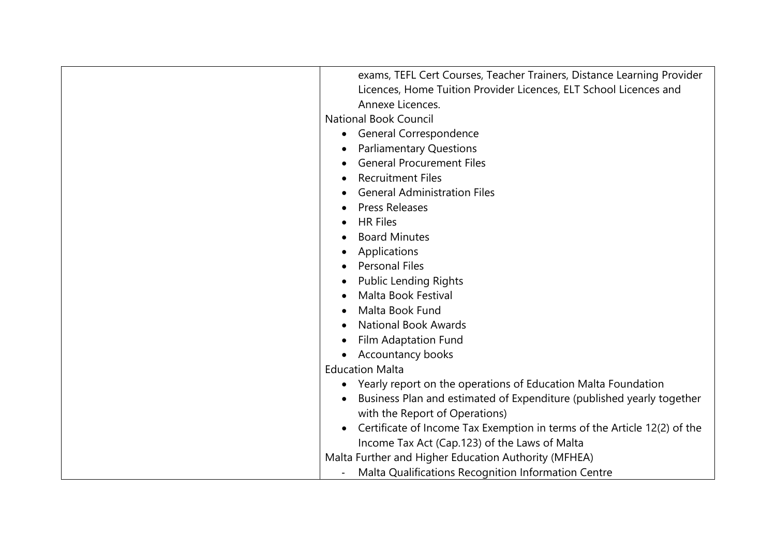| exams, TEFL Cert Courses, Teacher Trainers, Distance Learning Provider   |
|--------------------------------------------------------------------------|
| Licences, Home Tuition Provider Licences, ELT School Licences and        |
| Annexe Licences.                                                         |
| <b>National Book Council</b>                                             |
| General Correspondence<br>$\bullet$                                      |
| <b>Parliamentary Questions</b>                                           |
| <b>General Procurement Files</b>                                         |
| <b>Recruitment Files</b>                                                 |
| <b>General Administration Files</b>                                      |
| <b>Press Releases</b>                                                    |
| <b>HR Files</b>                                                          |
| <b>Board Minutes</b>                                                     |
| Applications                                                             |
| <b>Personal Files</b>                                                    |
| <b>Public Lending Rights</b>                                             |
| Malta Book Festival                                                      |
| Malta Book Fund                                                          |
| <b>National Book Awards</b>                                              |
| Film Adaptation Fund                                                     |
| <b>Accountancy books</b>                                                 |
| <b>Education Malta</b>                                                   |
| Yearly report on the operations of Education Malta Foundation            |
| Business Plan and estimated of Expenditure (published yearly together    |
| with the Report of Operations)                                           |
| Certificate of Income Tax Exemption in terms of the Article 12(2) of the |
| Income Tax Act (Cap.123) of the Laws of Malta                            |
| Malta Further and Higher Education Authority (MFHEA)                     |
| Malta Qualifications Recognition Information Centre                      |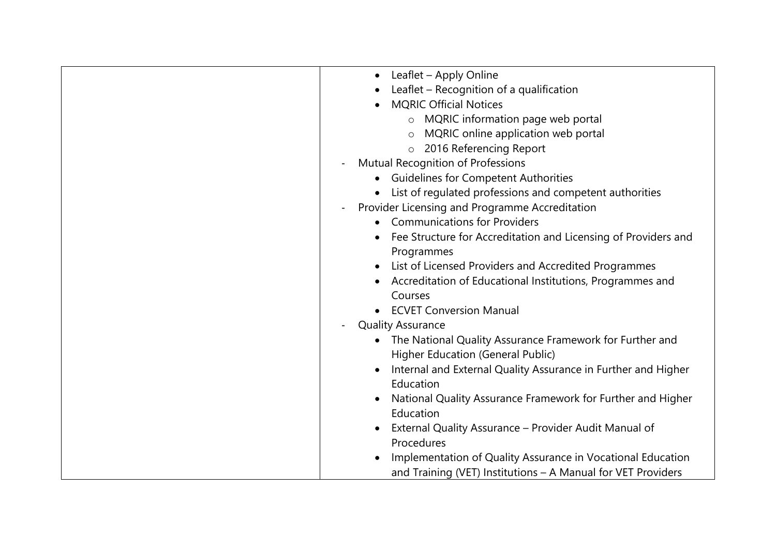| Leaflet - Apply Online<br>$\bullet$<br>Leaflet – Recognition of a qualification<br><b>MQRIC Official Notices</b><br>o MQRIC information page web portal<br>MQRIC online application web portal<br>$\circ$<br>2016 Referencing Report<br>$\circ$<br>Mutual Recognition of Professions<br>$\blacksquare$<br><b>Guidelines for Competent Authorities</b><br>$\bullet$<br>• List of regulated professions and competent authorities<br>Provider Licensing and Programme Accreditation<br>$\blacksquare$<br><b>Communications for Providers</b><br>$\bullet$ |  |
|---------------------------------------------------------------------------------------------------------------------------------------------------------------------------------------------------------------------------------------------------------------------------------------------------------------------------------------------------------------------------------------------------------------------------------------------------------------------------------------------------------------------------------------------------------|--|
|                                                                                                                                                                                                                                                                                                                                                                                                                                                                                                                                                         |  |
|                                                                                                                                                                                                                                                                                                                                                                                                                                                                                                                                                         |  |
|                                                                                                                                                                                                                                                                                                                                                                                                                                                                                                                                                         |  |
|                                                                                                                                                                                                                                                                                                                                                                                                                                                                                                                                                         |  |
|                                                                                                                                                                                                                                                                                                                                                                                                                                                                                                                                                         |  |
|                                                                                                                                                                                                                                                                                                                                                                                                                                                                                                                                                         |  |
|                                                                                                                                                                                                                                                                                                                                                                                                                                                                                                                                                         |  |
|                                                                                                                                                                                                                                                                                                                                                                                                                                                                                                                                                         |  |
|                                                                                                                                                                                                                                                                                                                                                                                                                                                                                                                                                         |  |
|                                                                                                                                                                                                                                                                                                                                                                                                                                                                                                                                                         |  |
|                                                                                                                                                                                                                                                                                                                                                                                                                                                                                                                                                         |  |
| Fee Structure for Accreditation and Licensing of Providers and                                                                                                                                                                                                                                                                                                                                                                                                                                                                                          |  |
| Programmes                                                                                                                                                                                                                                                                                                                                                                                                                                                                                                                                              |  |
| List of Licensed Providers and Accredited Programmes                                                                                                                                                                                                                                                                                                                                                                                                                                                                                                    |  |
| Accreditation of Educational Institutions, Programmes and                                                                                                                                                                                                                                                                                                                                                                                                                                                                                               |  |
| Courses                                                                                                                                                                                                                                                                                                                                                                                                                                                                                                                                                 |  |
| • ECVET Conversion Manual                                                                                                                                                                                                                                                                                                                                                                                                                                                                                                                               |  |
| <b>Quality Assurance</b>                                                                                                                                                                                                                                                                                                                                                                                                                                                                                                                                |  |
| • The National Quality Assurance Framework for Further and                                                                                                                                                                                                                                                                                                                                                                                                                                                                                              |  |
| Higher Education (General Public)                                                                                                                                                                                                                                                                                                                                                                                                                                                                                                                       |  |
| Internal and External Quality Assurance in Further and Higher                                                                                                                                                                                                                                                                                                                                                                                                                                                                                           |  |
| Education                                                                                                                                                                                                                                                                                                                                                                                                                                                                                                                                               |  |
| National Quality Assurance Framework for Further and Higher                                                                                                                                                                                                                                                                                                                                                                                                                                                                                             |  |
| Education                                                                                                                                                                                                                                                                                                                                                                                                                                                                                                                                               |  |
| External Quality Assurance - Provider Audit Manual of                                                                                                                                                                                                                                                                                                                                                                                                                                                                                                   |  |
| Procedures                                                                                                                                                                                                                                                                                                                                                                                                                                                                                                                                              |  |
| Implementation of Quality Assurance in Vocational Education                                                                                                                                                                                                                                                                                                                                                                                                                                                                                             |  |
| and Training (VET) Institutions - A Manual for VET Providers                                                                                                                                                                                                                                                                                                                                                                                                                                                                                            |  |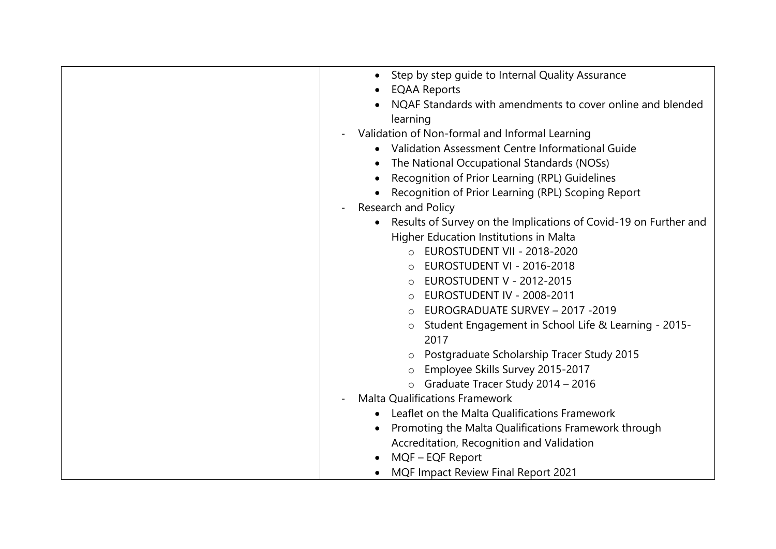| Step by step guide to Internal Quality Assurance<br>$\bullet$    |
|------------------------------------------------------------------|
| <b>EQAA Reports</b>                                              |
| NQAF Standards with amendments to cover online and blended       |
| learning                                                         |
| Validation of Non-formal and Informal Learning                   |
| Validation Assessment Centre Informational Guide                 |
| The National Occupational Standards (NOSs)                       |
| Recognition of Prior Learning (RPL) Guidelines                   |
| Recognition of Prior Learning (RPL) Scoping Report               |
| Research and Policy                                              |
| Results of Survey on the Implications of Covid-19 on Further and |
| Higher Education Institutions in Malta                           |
| O EUROSTUDENT VII - 2018-2020                                    |
| EUROSTUDENT VI - 2016-2018<br>$\circ$                            |
| <b>EUROSTUDENT V - 2012-2015</b>                                 |
| EUROSTUDENT IV - 2008-2011<br>$\circ$                            |
| EUROGRADUATE SURVEY - 2017 - 2019<br>$\circ$                     |
| Student Engagement in School Life & Learning - 2015-<br>$\circ$  |
| 2017                                                             |
| Postgraduate Scholarship Tracer Study 2015<br>$\circ$            |
| Employee Skills Survey 2015-2017                                 |
| Graduate Tracer Study 2014 - 2016<br>$\circ$                     |
| <b>Malta Qualifications Framework</b>                            |
| Leaflet on the Malta Qualifications Framework                    |
| Promoting the Malta Qualifications Framework through             |
| Accreditation, Recognition and Validation                        |
| MQF - EQF Report                                                 |
| <b>MQF Impact Review Final Report 2021</b>                       |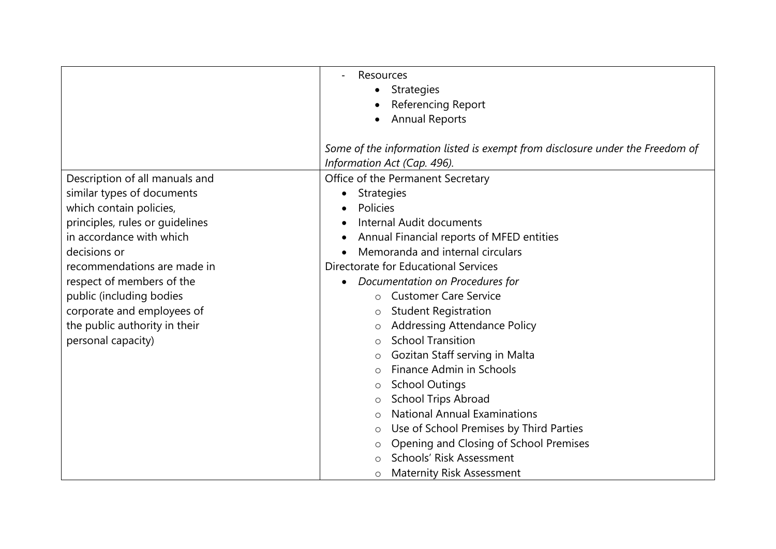|                                 | Resources                                                                     |
|---------------------------------|-------------------------------------------------------------------------------|
|                                 | <b>Strategies</b>                                                             |
|                                 | Referencing Report                                                            |
|                                 | <b>Annual Reports</b>                                                         |
|                                 |                                                                               |
|                                 | Some of the information listed is exempt from disclosure under the Freedom of |
|                                 | Information Act (Cap. 496).                                                   |
| Description of all manuals and  | Office of the Permanent Secretary                                             |
| similar types of documents      | <b>Strategies</b>                                                             |
| which contain policies,         | Policies                                                                      |
| principles, rules or guidelines | Internal Audit documents                                                      |
| in accordance with which        | Annual Financial reports of MFED entities                                     |
| decisions or                    | Memoranda and internal circulars                                              |
| recommendations are made in     | Directorate for Educational Services                                          |
| respect of members of the       | Documentation on Procedures for<br>$\bullet$                                  |
| public (including bodies        | <b>Customer Care Service</b><br>$\Omega$                                      |
| corporate and employees of      | <b>Student Registration</b><br>$\circ$                                        |
| the public authority in their   | <b>Addressing Attendance Policy</b><br>O                                      |
| personal capacity)              | <b>School Transition</b><br>$\Omega$                                          |
|                                 | Gozitan Staff serving in Malta<br>O                                           |
|                                 | Finance Admin in Schools<br>$\bigcirc$                                        |
|                                 | <b>School Outings</b><br>$\circ$                                              |
|                                 | <b>School Trips Abroad</b><br>O                                               |
|                                 | <b>National Annual Examinations</b><br>$\Omega$                               |
|                                 | Use of School Premises by Third Parties<br>$\circ$                            |
|                                 | Opening and Closing of School Premises<br>O                                   |
|                                 | Schools' Risk Assessment                                                      |
|                                 | <b>Maternity Risk Assessment</b><br>$\circ$                                   |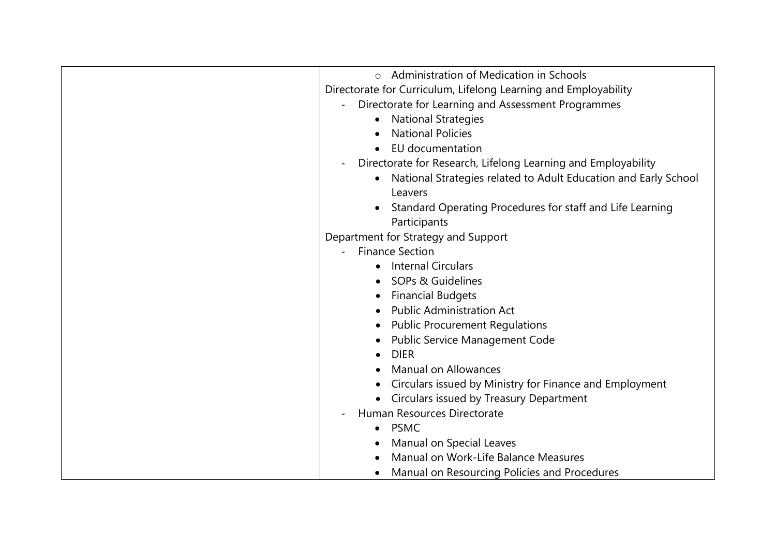| Administration of Medication in Schools<br>$\Omega$                            |
|--------------------------------------------------------------------------------|
| Directorate for Curriculum, Lifelong Learning and Employability                |
| Directorate for Learning and Assessment Programmes<br>$\overline{\phantom{0}}$ |
| <b>National Strategies</b>                                                     |
| <b>National Policies</b>                                                       |
| EU documentation                                                               |
| Directorate for Research, Lifelong Learning and Employability                  |
| National Strategies related to Adult Education and Early School                |
| Leavers                                                                        |
| Standard Operating Procedures for staff and Life Learning                      |
| Participants                                                                   |
| Department for Strategy and Support                                            |
| <b>Finance Section</b>                                                         |
| <b>Internal Circulars</b>                                                      |
| SOPs & Guidelines                                                              |
| <b>Financial Budgets</b>                                                       |
| <b>Public Administration Act</b>                                               |
|                                                                                |
| <b>Public Procurement Regulations</b>                                          |
| <b>Public Service Management Code</b>                                          |
| <b>DIER</b>                                                                    |
| <b>Manual on Allowances</b>                                                    |
| Circulars issued by Ministry for Finance and Employment                        |
| Circulars issued by Treasury Department                                        |
| Human Resources Directorate                                                    |
| <b>PSMC</b><br>$\bullet$                                                       |
| Manual on Special Leaves                                                       |
| Manual on Work-Life Balance Measures                                           |
| Manual on Resourcing Policies and Procedures                                   |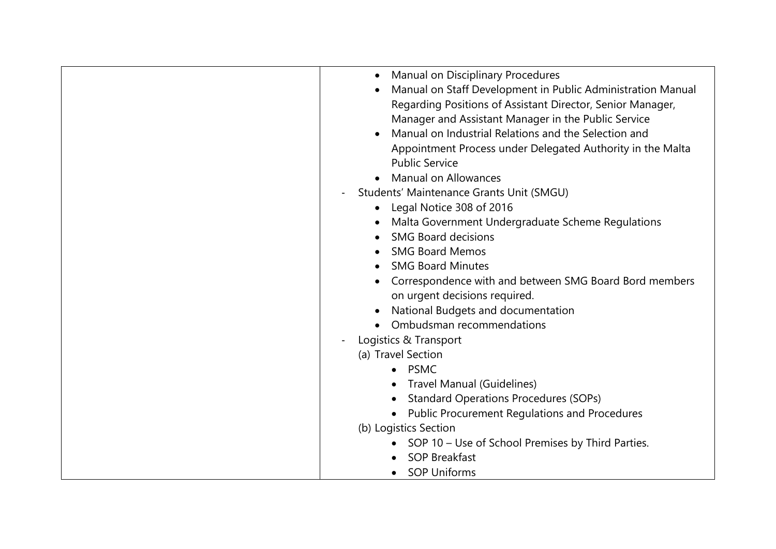| Manual on Disciplinary Procedures<br>$\bullet$              |
|-------------------------------------------------------------|
| Manual on Staff Development in Public Administration Manual |
| Regarding Positions of Assistant Director, Senior Manager,  |
| Manager and Assistant Manager in the Public Service         |
| Manual on Industrial Relations and the Selection and        |
| Appointment Process under Delegated Authority in the Malta  |
| <b>Public Service</b>                                       |
| <b>Manual on Allowances</b>                                 |
| Students' Maintenance Grants Unit (SMGU)                    |
| Legal Notice 308 of 2016<br>$\bullet$                       |
| Malta Government Undergraduate Scheme Regulations           |
| <b>SMG Board decisions</b>                                  |
| <b>SMG Board Memos</b>                                      |
| <b>SMG Board Minutes</b>                                    |
| Correspondence with and between SMG Board Bord members      |
| on urgent decisions required.                               |
| National Budgets and documentation                          |
| Ombudsman recommendations                                   |
| Logistics & Transport                                       |
| (a) Travel Section                                          |
| <b>PSMC</b>                                                 |
| Travel Manual (Guidelines)                                  |
| <b>Standard Operations Procedures (SOPs)</b>                |
| <b>Public Procurement Regulations and Procedures</b>        |
| (b) Logistics Section                                       |
| SOP 10 – Use of School Premises by Third Parties.           |
| <b>SOP Breakfast</b>                                        |
| <b>SOP Uniforms</b>                                         |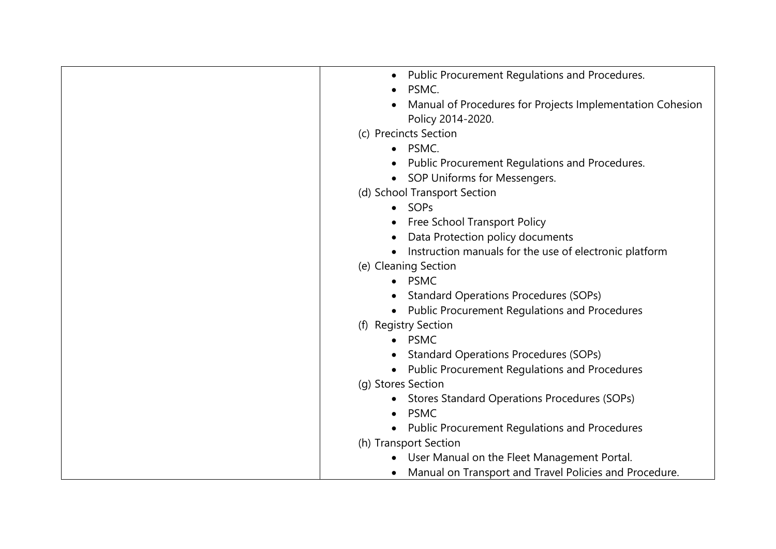| Public Procurement Regulations and Procedures.                    |
|-------------------------------------------------------------------|
| PSMC.                                                             |
| Manual of Procedures for Projects Implementation Cohesion         |
| Policy 2014-2020.                                                 |
| (c) Precincts Section                                             |
| PSMC.                                                             |
| Public Procurement Regulations and Procedures.                    |
| SOP Uniforms for Messengers.                                      |
| (d) School Transport Section                                      |
| • SOPs                                                            |
| Free School Transport Policy                                      |
| Data Protection policy documents                                  |
| Instruction manuals for the use of electronic platform            |
| (e) Cleaning Section                                              |
| <b>PSMC</b>                                                       |
| <b>Standard Operations Procedures (SOPs)</b>                      |
| <b>Public Procurement Regulations and Procedures</b><br>$\bullet$ |
| (f) Registry Section                                              |
| • PSMC                                                            |
| <b>Standard Operations Procedures (SOPs)</b>                      |
| <b>Public Procurement Regulations and Procedures</b>              |
| (g) Stores Section                                                |
| Stores Standard Operations Procedures (SOPs)<br>$\bullet$         |
| <b>PSMC</b>                                                       |
| <b>Public Procurement Regulations and Procedures</b>              |
| (h) Transport Section                                             |
| User Manual on the Fleet Management Portal.                       |
| Manual on Transport and Travel Policies and Procedure.            |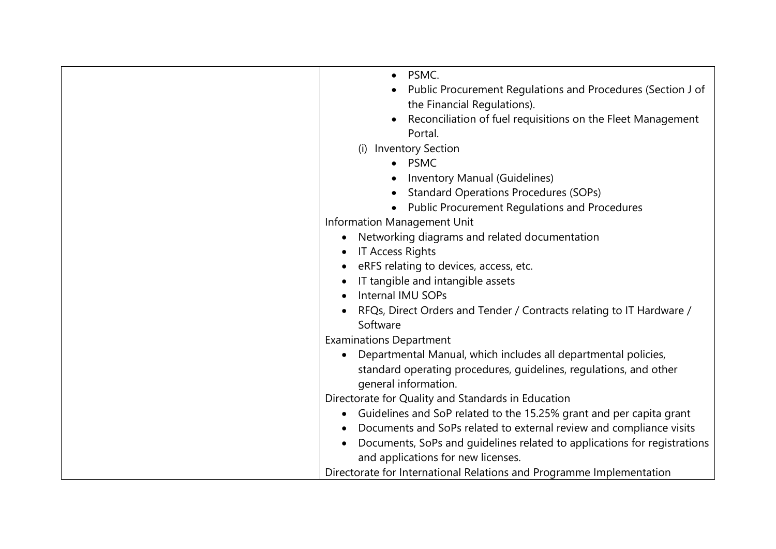| • PSMC.                                                                  |
|--------------------------------------------------------------------------|
|                                                                          |
| Public Procurement Regulations and Procedures (Section J of              |
| the Financial Regulations).                                              |
| Reconciliation of fuel requisitions on the Fleet Management              |
| Portal.                                                                  |
| <b>Inventory Section</b><br>(i)                                          |
| • PSMC                                                                   |
| Inventory Manual (Guidelines)                                            |
| <b>Standard Operations Procedures (SOPs)</b>                             |
| <b>Public Procurement Regulations and Procedures</b>                     |
| Information Management Unit                                              |
| Networking diagrams and related documentation                            |
| <b>IT Access Rights</b>                                                  |
| eRFS relating to devices, access, etc.                                   |
| IT tangible and intangible assets                                        |
| Internal IMU SOPs                                                        |
| RFQs, Direct Orders and Tender / Contracts relating to IT Hardware /     |
| Software                                                                 |
| <b>Examinations Department</b>                                           |
| Departmental Manual, which includes all departmental policies,           |
| standard operating procedures, guidelines, regulations, and other        |
| general information.                                                     |
| Directorate for Quality and Standards in Education                       |
| Guidelines and SoP related to the 15.25% grant and per capita grant      |
| Documents and SoPs related to external review and compliance visits      |
| Documents, SoPs and guidelines related to applications for registrations |
| and applications for new licenses.                                       |
|                                                                          |
| Directorate for International Relations and Programme Implementation     |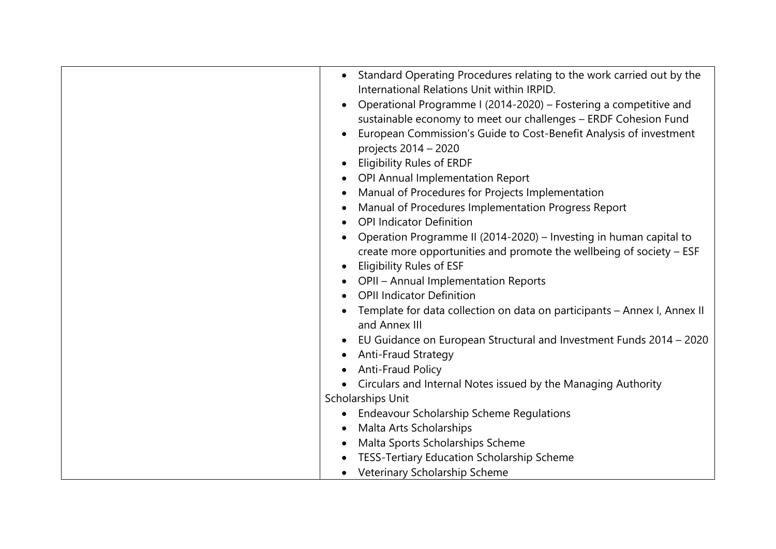| Standard Operating Procedures relating to the work carried out by the<br>International Relations Unit within IRPID.<br>Operational Programme I (2014-2020) – Fostering a competitive and<br>sustainable economy to meet our challenges - ERDF Cohesion Fund<br>European Commission's Guide to Cost-Benefit Analysis of investment<br>projects 2014 - 2020<br><b>Eligibility Rules of ERDF</b><br>OPI Annual Implementation Report<br>Manual of Procedures for Projects Implementation<br>Manual of Procedures Implementation Progress Report<br><b>OPI Indicator Definition</b><br>Operation Programme II (2014-2020) - Investing in human capital to<br>create more opportunities and promote the wellbeing of society - ESF<br><b>Eligibility Rules of ESF</b><br>OPII - Annual Implementation Reports<br><b>OPII Indicator Definition</b><br>Template for data collection on data on participants - Annex I, Annex II<br>and Annex III<br>EU Guidance on European Structural and Investment Funds 2014 - 2020<br>Anti-Fraud Strategy<br>Anti-Fraud Policy<br>Circulars and Internal Notes issued by the Managing Authority<br>Scholarships Unit |
|----------------------------------------------------------------------------------------------------------------------------------------------------------------------------------------------------------------------------------------------------------------------------------------------------------------------------------------------------------------------------------------------------------------------------------------------------------------------------------------------------------------------------------------------------------------------------------------------------------------------------------------------------------------------------------------------------------------------------------------------------------------------------------------------------------------------------------------------------------------------------------------------------------------------------------------------------------------------------------------------------------------------------------------------------------------------------------------------------------------------------------------------------|
|                                                                                                                                                                                                                                                                                                                                                                                                                                                                                                                                                                                                                                                                                                                                                                                                                                                                                                                                                                                                                                                                                                                                                    |
|                                                                                                                                                                                                                                                                                                                                                                                                                                                                                                                                                                                                                                                                                                                                                                                                                                                                                                                                                                                                                                                                                                                                                    |
|                                                                                                                                                                                                                                                                                                                                                                                                                                                                                                                                                                                                                                                                                                                                                                                                                                                                                                                                                                                                                                                                                                                                                    |
|                                                                                                                                                                                                                                                                                                                                                                                                                                                                                                                                                                                                                                                                                                                                                                                                                                                                                                                                                                                                                                                                                                                                                    |
| <b>Endeavour Scholarship Scheme Regulations</b>                                                                                                                                                                                                                                                                                                                                                                                                                                                                                                                                                                                                                                                                                                                                                                                                                                                                                                                                                                                                                                                                                                    |
| Malta Arts Scholarships                                                                                                                                                                                                                                                                                                                                                                                                                                                                                                                                                                                                                                                                                                                                                                                                                                                                                                                                                                                                                                                                                                                            |
| Malta Sports Scholarships Scheme                                                                                                                                                                                                                                                                                                                                                                                                                                                                                                                                                                                                                                                                                                                                                                                                                                                                                                                                                                                                                                                                                                                   |
| TESS-Tertiary Education Scholarship Scheme                                                                                                                                                                                                                                                                                                                                                                                                                                                                                                                                                                                                                                                                                                                                                                                                                                                                                                                                                                                                                                                                                                         |
| Veterinary Scholarship Scheme<br>$\bullet$                                                                                                                                                                                                                                                                                                                                                                                                                                                                                                                                                                                                                                                                                                                                                                                                                                                                                                                                                                                                                                                                                                         |
|                                                                                                                                                                                                                                                                                                                                                                                                                                                                                                                                                                                                                                                                                                                                                                                                                                                                                                                                                                                                                                                                                                                                                    |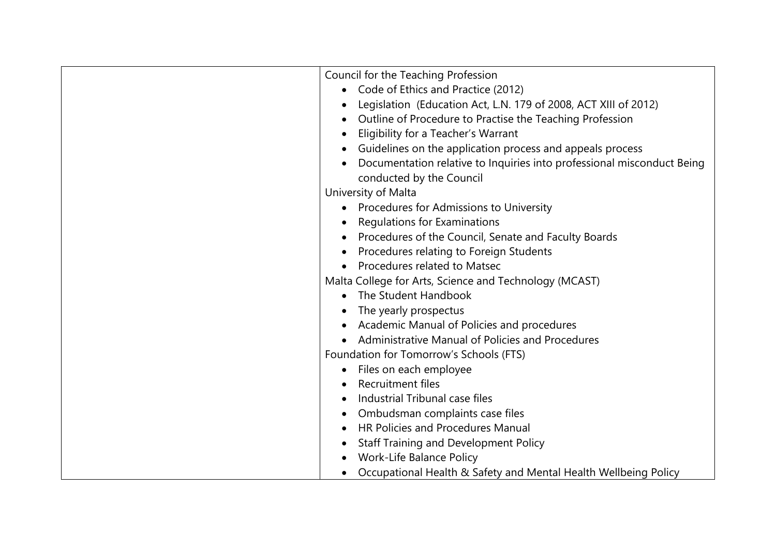| Council for the Teaching Profession                                         |
|-----------------------------------------------------------------------------|
| Code of Ethics and Practice (2012)                                          |
| Legislation (Education Act, L.N. 179 of 2008, ACT XIII of 2012)             |
| Outline of Procedure to Practise the Teaching Profession                    |
| Eligibility for a Teacher's Warrant                                         |
| Guidelines on the application process and appeals process                   |
| Documentation relative to Inquiries into professional misconduct Being      |
| conducted by the Council                                                    |
| University of Malta                                                         |
| • Procedures for Admissions to University                                   |
| Regulations for Examinations                                                |
| Procedures of the Council, Senate and Faculty Boards                        |
| Procedures relating to Foreign Students                                     |
| Procedures related to Matsec                                                |
| Malta College for Arts, Science and Technology (MCAST)                      |
| The Student Handbook                                                        |
| The yearly prospectus                                                       |
| Academic Manual of Policies and procedures                                  |
| Administrative Manual of Policies and Procedures                            |
| Foundation for Tomorrow's Schools (FTS)                                     |
| Files on each employee                                                      |
| Recruitment files                                                           |
| Industrial Tribunal case files                                              |
|                                                                             |
| Ombudsman complaints case files<br><b>HR Policies and Procedures Manual</b> |
|                                                                             |
| <b>Staff Training and Development Policy</b>                                |
| Work-Life Balance Policy                                                    |
| Occupational Health & Safety and Mental Health Wellbeing Policy             |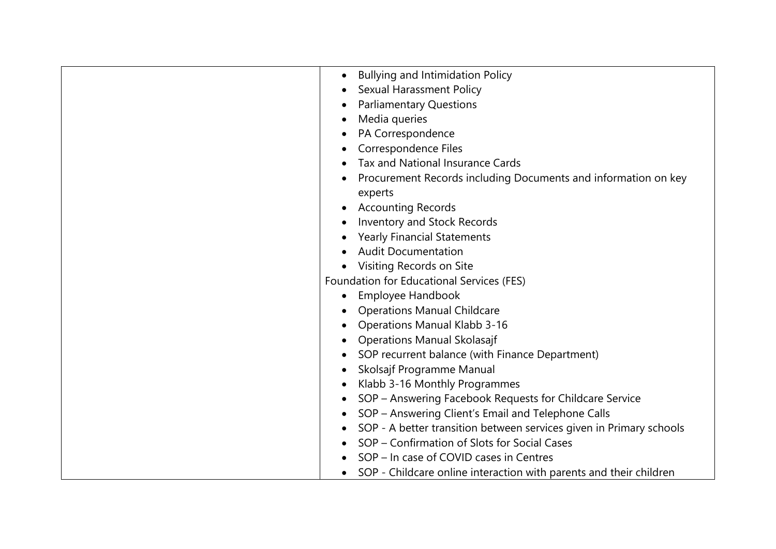| <b>Bullying and Intimidation Policy</b><br>٠                        |
|---------------------------------------------------------------------|
| <b>Sexual Harassment Policy</b>                                     |
| <b>Parliamentary Questions</b>                                      |
| Media queries                                                       |
| PA Correspondence                                                   |
| Correspondence Files                                                |
| Tax and National Insurance Cards                                    |
| Procurement Records including Documents and information on key      |
| experts                                                             |
| <b>Accounting Records</b>                                           |
| Inventory and Stock Records                                         |
| <b>Yearly Financial Statements</b>                                  |
| <b>Audit Documentation</b>                                          |
| Visiting Records on Site                                            |
| Foundation for Educational Services (FES)                           |
| Employee Handbook                                                   |
| <b>Operations Manual Childcare</b>                                  |
| <b>Operations Manual Klabb 3-16</b>                                 |
| <b>Operations Manual Skolasajf</b>                                  |
| SOP recurrent balance (with Finance Department)                     |
| Skolsajf Programme Manual                                           |
| Klabb 3-16 Monthly Programmes                                       |
| SOP - Answering Facebook Requests for Childcare Service             |
| SOP - Answering Client's Email and Telephone Calls                  |
| SOP - A better transition between services given in Primary schools |
| SOP - Confirmation of Slots for Social Cases                        |
| SOP - In case of COVID cases in Centres                             |
| SOP - Childcare online interaction with parents and their children  |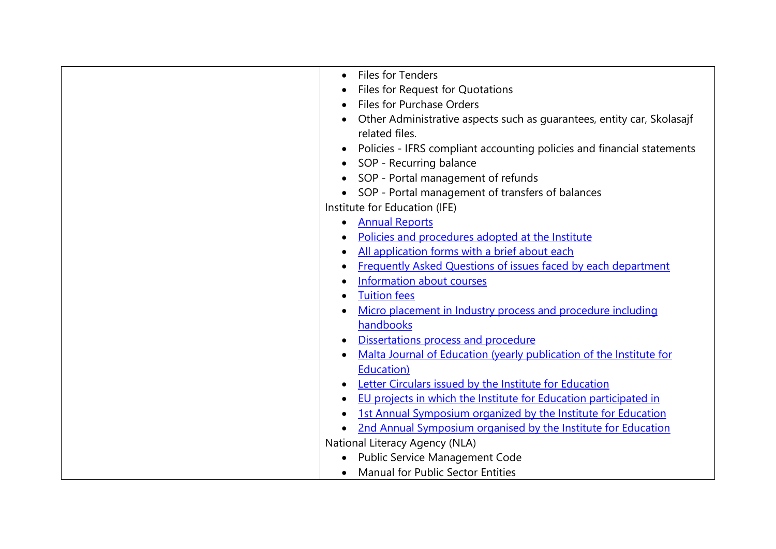| <b>Files for Tenders</b>                                                         |
|----------------------------------------------------------------------------------|
| Files for Request for Quotations                                                 |
| <b>Files for Purchase Orders</b>                                                 |
| Other Administrative aspects such as guarantees, entity car, Skolasajf           |
| related files.                                                                   |
| Policies - IFRS compliant accounting policies and financial statements           |
| SOP - Recurring balance                                                          |
| SOP - Portal management of refunds                                               |
| SOP - Portal management of transfers of balances                                 |
| Institute for Education (IFE)                                                    |
| <b>Annual Reports</b><br>$\bullet$                                               |
| Policies and procedures adopted at the Institute                                 |
| All application forms with a brief about each                                    |
| Frequently Asked Questions of issues faced by each department                    |
| Information about courses<br>٠                                                   |
| <b>Tuition fees</b>                                                              |
| Micro placement in Industry process and procedure including                      |
| handbooks                                                                        |
| Dissertations process and procedure<br>$\bullet$                                 |
| Malta Journal of Education (yearly publication of the Institute for<br>$\bullet$ |
| Education)                                                                       |
| Letter Circulars issued by the Institute for Education<br>$\bullet$              |
| EU projects in which the Institute for Education participated in<br>$\bullet$    |
| 1st Annual Symposium organized by the Institute for Education                    |
| 2nd Annual Symposium organised by the Institute for Education                    |
| National Literacy Agency (NLA)                                                   |
| <b>Public Service Management Code</b>                                            |
| <b>Manual for Public Sector Entities</b><br>$\bullet$                            |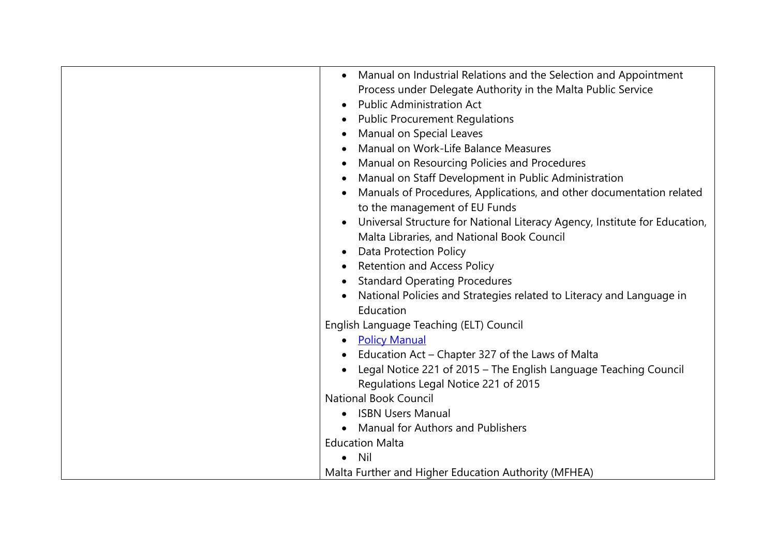| Manual on Industrial Relations and the Selection and Appointment           |
|----------------------------------------------------------------------------|
| Process under Delegate Authority in the Malta Public Service               |
| <b>Public Administration Act</b>                                           |
| <b>Public Procurement Regulations</b>                                      |
| Manual on Special Leaves                                                   |
| Manual on Work-Life Balance Measures                                       |
| Manual on Resourcing Policies and Procedures                               |
| Manual on Staff Development in Public Administration                       |
| Manuals of Procedures, Applications, and other documentation related       |
| to the management of EU Funds                                              |
| Universal Structure for National Literacy Agency, Institute for Education, |
| Malta Libraries, and National Book Council                                 |
| <b>Data Protection Policy</b>                                              |
| <b>Retention and Access Policy</b>                                         |
| <b>Standard Operating Procedures</b>                                       |
| National Policies and Strategies related to Literacy and Language in       |
| Education                                                                  |
| English Language Teaching (ELT) Council                                    |
| • Policy Manual                                                            |
| Education Act – Chapter 327 of the Laws of Malta                           |
| Legal Notice 221 of 2015 - The English Language Teaching Council           |
| Regulations Legal Notice 221 of 2015                                       |
| <b>National Book Council</b>                                               |
| <b>ISBN Users Manual</b>                                                   |
| Manual for Authors and Publishers                                          |
| <b>Education Malta</b>                                                     |
| <b>Nil</b>                                                                 |
| Malta Further and Higher Education Authority (MFHEA)                       |
|                                                                            |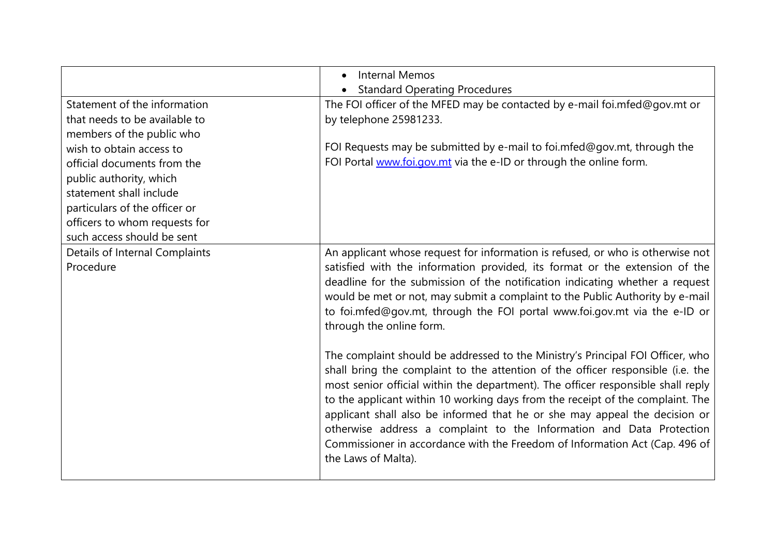|                                | <b>Internal Memos</b><br>$\bullet$                                                                                                                                                                                                                                                                                                                                                                                                                                                                                                                                                                  |
|--------------------------------|-----------------------------------------------------------------------------------------------------------------------------------------------------------------------------------------------------------------------------------------------------------------------------------------------------------------------------------------------------------------------------------------------------------------------------------------------------------------------------------------------------------------------------------------------------------------------------------------------------|
|                                | <b>Standard Operating Procedures</b>                                                                                                                                                                                                                                                                                                                                                                                                                                                                                                                                                                |
| Statement of the information   | The FOI officer of the MFED may be contacted by e-mail foi.mfed@gov.mt or                                                                                                                                                                                                                                                                                                                                                                                                                                                                                                                           |
| that needs to be available to  | by telephone 25981233.                                                                                                                                                                                                                                                                                                                                                                                                                                                                                                                                                                              |
| members of the public who      |                                                                                                                                                                                                                                                                                                                                                                                                                                                                                                                                                                                                     |
| wish to obtain access to       | FOI Requests may be submitted by e-mail to foi.mfed@gov.mt, through the                                                                                                                                                                                                                                                                                                                                                                                                                                                                                                                             |
| official documents from the    | FOI Portal www.foi.gov.mt via the e-ID or through the online form.                                                                                                                                                                                                                                                                                                                                                                                                                                                                                                                                  |
| public authority, which        |                                                                                                                                                                                                                                                                                                                                                                                                                                                                                                                                                                                                     |
| statement shall include        |                                                                                                                                                                                                                                                                                                                                                                                                                                                                                                                                                                                                     |
| particulars of the officer or  |                                                                                                                                                                                                                                                                                                                                                                                                                                                                                                                                                                                                     |
| officers to whom requests for  |                                                                                                                                                                                                                                                                                                                                                                                                                                                                                                                                                                                                     |
| such access should be sent     |                                                                                                                                                                                                                                                                                                                                                                                                                                                                                                                                                                                                     |
| Details of Internal Complaints | An applicant whose request for information is refused, or who is otherwise not                                                                                                                                                                                                                                                                                                                                                                                                                                                                                                                      |
| Procedure                      | satisfied with the information provided, its format or the extension of the<br>deadline for the submission of the notification indicating whether a request<br>would be met or not, may submit a complaint to the Public Authority by e-mail<br>to foi.mfed@gov.mt, through the FOI portal www.foi.gov.mt via the e-ID or<br>through the online form.                                                                                                                                                                                                                                               |
|                                | The complaint should be addressed to the Ministry's Principal FOI Officer, who<br>shall bring the complaint to the attention of the officer responsible (i.e. the<br>most senior official within the department). The officer responsible shall reply<br>to the applicant within 10 working days from the receipt of the complaint. The<br>applicant shall also be informed that he or she may appeal the decision or<br>otherwise address a complaint to the Information and Data Protection<br>Commissioner in accordance with the Freedom of Information Act (Cap. 496 of<br>the Laws of Malta). |